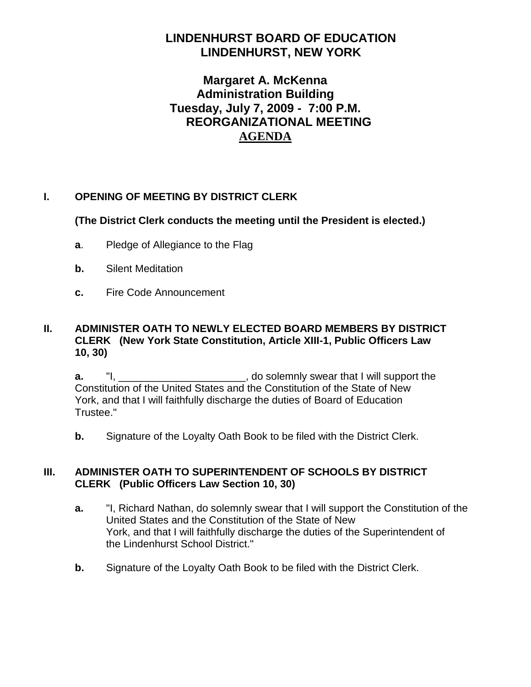# **LINDENHURST BOARD OF EDUCATION LINDENHURST, NEW YORK**

# **Margaret A. McKenna Administration Building Tuesday, July 7, 2009 - 7:00 P.M. REORGANIZATIONAL MEETING AGENDA**

# **I. OPENING OF MEETING BY DISTRICT CLERK**

**(The District Clerk conducts the meeting until the President is elected.)**

- **a**. Pledge of Allegiance to the Flag
- **b.** Silent Meditation
- **c.** Fire Code Announcement

# **II. ADMINISTER OATH TO NEWLY ELECTED BOARD MEMBERS BY DISTRICT CLERK (New York State Constitution, Article XIII-1, Public Officers Law 10, 30)**

**a.** "I, the solemnly swear that I will support the Constitution of the United States and the Constitution of the State of New York, and that I will faithfully discharge the duties of Board of Education Trustee."

**b.** Signature of the Loyalty Oath Book to be filed with the District Clerk.

# **III. ADMINISTER OATH TO SUPERINTENDENT OF SCHOOLS BY DISTRICT CLERK (Public Officers Law Section 10, 30)**

- **a.** "I, Richard Nathan, do solemnly swear that I will support the Constitution of the United States and the Constitution of the State of New York, and that I will faithfully discharge the duties of the Superintendent of the Lindenhurst School District."
- **b.** Signature of the Loyalty Oath Book to be filed with the District Clerk.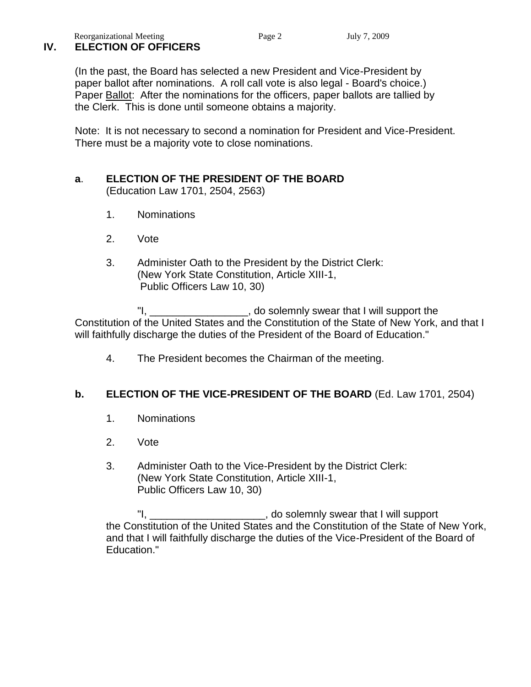# **IV. ELECTION OF OFFICERS**

(In the past, the Board has selected a new President and Vice-President by paper ballot after nominations. A roll call vote is also legal - Board's choice.) Paper Ballot: After the nominations for the officers, paper ballots are tallied by the Clerk. This is done until someone obtains a majority.

Note: It is not necessary to second a nomination for President and Vice-President. There must be a majority vote to close nominations.

### **a**. **ELECTION OF THE PRESIDENT OF THE BOARD** (Education Law 1701, 2504, 2563)

- 1. Nominations
- 2. Vote
- 3. Administer Oath to the President by the District Clerk: (New York State Constitution, Article XIII-1, Public Officers Law 10, 30)

"I, The solemnly swear that I will support the "I, Constitution of the United States and the Constitution of the State of New York, and that I will faithfully discharge the duties of the President of the Board of Education."

4. The President becomes the Chairman of the meeting.

# **b. ELECTION OF THE VICE-PRESIDENT OF THE BOARD** (Ed. Law 1701, 2504)

- 1. Nominations
- 2. Vote
- 3. Administer Oath to the Vice-President by the District Clerk: (New York State Constitution, Article XIII-1, Public Officers Law 10, 30)

"I,  $\frac{1}{2}$  are  $\frac{1}{2}$  , do solemnly swear that I will support the Constitution of the United States and the Constitution of the State of New York, and that I will faithfully discharge the duties of the Vice-President of the Board of Education."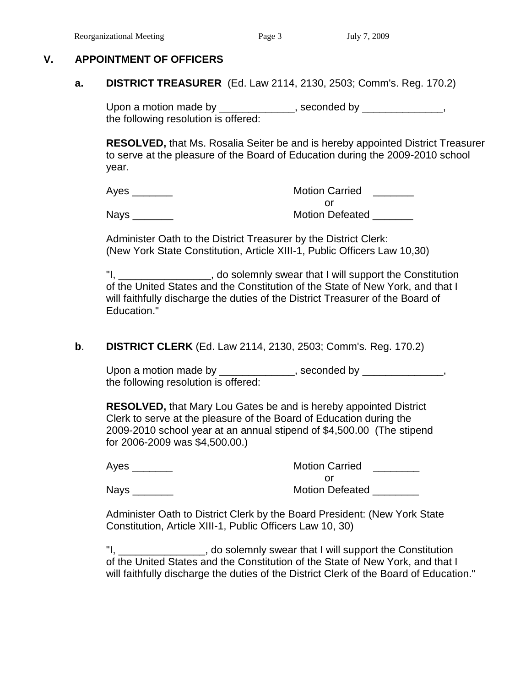#### **V. APPOINTMENT OF OFFICERS**

#### **a. DISTRICT TREASURER** (Ed. Law 2114, 2130, 2503; Comm's. Reg. 170.2)

Upon a motion made by \_\_\_\_\_\_\_\_\_\_\_\_\_, seconded by \_\_\_\_\_\_\_\_\_\_\_\_\_, the following resolution is offered:

**RESOLVED,** that Ms. Rosalia Seiter be and is hereby appointed District Treasurer to serve at the pleasure of the Board of Education during the 2009-2010 school year.

| Ayes        | <b>Motion Carried</b>  |
|-------------|------------------------|
|             |                        |
| <b>Nays</b> | <b>Motion Defeated</b> |

Administer Oath to the District Treasurer by the District Clerk: (New York State Constitution, Article XIII-1, Public Officers Law 10,30)

"I, \_\_\_\_\_\_\_\_\_\_\_\_\_\_\_\_, do solemnly swear that I will support the Constitution of the United States and the Constitution of the State of New York, and that I will faithfully discharge the duties of the District Treasurer of the Board of Education."

#### **b**. **DISTRICT CLERK** (Ed. Law 2114, 2130, 2503; Comm's. Reg. 170.2)

Upon a motion made by \_\_\_\_\_\_\_\_\_\_\_\_\_, seconded by \_\_\_\_\_\_\_\_\_\_\_\_\_, the following resolution is offered:

**RESOLVED,** that Mary Lou Gates be and is hereby appointed District Clerk to serve at the pleasure of the Board of Education during the 2009-2010 school year at an annual stipend of \$4,500.00 (The stipend for 2006-2009 was \$4,500.00.)

| Ayes | <b>Motion Carried</b>  |
|------|------------------------|
|      |                        |
| Nays | <b>Motion Defeated</b> |

Administer Oath to District Clerk by the Board President: (New York State Constitution, Article XIII-1, Public Officers Law 10, 30)

"I, \_\_\_\_\_\_\_\_\_\_\_\_\_\_\_, do solemnly swear that I will support the Constitution of the United States and the Constitution of the State of New York, and that I will faithfully discharge the duties of the District Clerk of the Board of Education."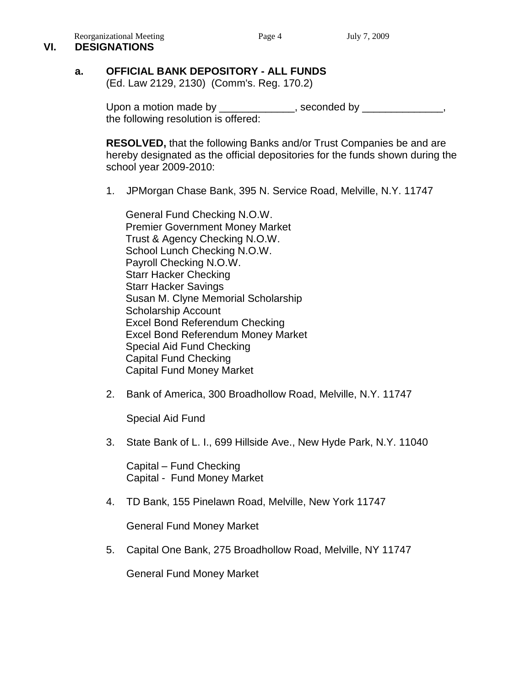#### Reorganizational Meeting Page 4 July 7, 2009 **VI. DESIGNATIONS**

# **a. OFFICIAL BANK DEPOSITORY - ALL FUNDS**

(Ed. Law 2129, 2130) (Comm's. Reg. 170.2)

Upon a motion made by \_\_\_\_\_\_\_\_\_\_\_\_, seconded by \_\_\_\_\_\_\_\_\_\_\_\_, the following resolution is offered:

**RESOLVED,** that the following Banks and/or Trust Companies be and are hereby designated as the official depositories for the funds shown during the school year 2009-2010:

1. JPMorgan Chase Bank, 395 N. Service Road, Melville, N.Y. 11747

General Fund Checking N.O.W. Premier Government Money Market Trust & Agency Checking N.O.W. School Lunch Checking N.O.W. Payroll Checking N.O.W. Starr Hacker Checking Starr Hacker Savings Susan M. Clyne Memorial Scholarship Scholarship Account Excel Bond Referendum Checking Excel Bond Referendum Money Market Special Aid Fund Checking Capital Fund Checking Capital Fund Money Market

2. Bank of America, 300 Broadhollow Road, Melville, N.Y. 11747

Special Aid Fund

3. State Bank of L. I., 699 Hillside Ave., New Hyde Park, N.Y. 11040

 Capital – Fund Checking Capital - Fund Money Market

4. TD Bank, 155 Pinelawn Road, Melville, New York 11747

General Fund Money Market

5. Capital One Bank, 275 Broadhollow Road, Melville, NY 11747

General Fund Money Market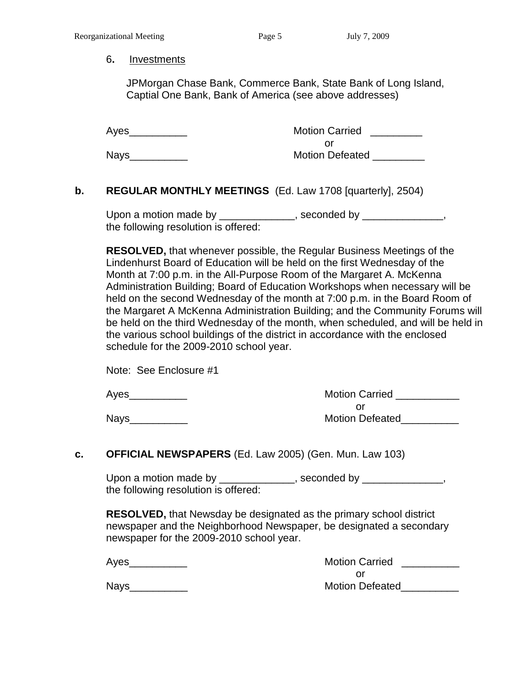#### 6**.** Investments

 JPMorgan Chase Bank, Commerce Bank, State Bank of Long Island, Captial One Bank, Bank of America (see above addresses)

Ayes\_\_\_\_\_\_\_\_\_\_ Motion Carried \_\_\_\_\_\_\_\_\_ or Nays\_\_\_\_\_\_\_\_\_\_ Motion Defeated \_\_\_\_\_\_\_\_\_

# **b. REGULAR MONTHLY MEETINGS** (Ed. Law 1708 [quarterly], 2504)

Upon a motion made by \_\_\_\_\_\_\_\_\_\_\_\_\_, seconded by \_\_\_\_\_\_\_\_\_\_\_\_\_, the following resolution is offered:

**RESOLVED,** that whenever possible, the Regular Business Meetings of the Lindenhurst Board of Education will be held on the first Wednesday of the Month at 7:00 p.m. in the All-Purpose Room of the Margaret A. McKenna Administration Building; Board of Education Workshops when necessary will be held on the second Wednesday of the month at 7:00 p.m. in the Board Room of the Margaret A McKenna Administration Building; and the Community Forums will be held on the third Wednesday of the month, when scheduled, and will be held in the various school buildings of the district in accordance with the enclosed schedule for the 2009-2010 school year.

| Note: See Enclosure #1 |  |
|------------------------|--|
|------------------------|--|

Ayes\_\_\_\_\_\_\_\_\_\_ Motion Carried \_\_\_\_\_\_\_\_\_\_\_ or Nays\_\_\_\_\_\_\_\_\_\_ Motion Defeated\_\_\_\_\_\_\_\_\_\_

#### **c. OFFICIAL NEWSPAPERS** (Ed. Law 2005) (Gen. Mun. Law 103)

Upon a motion made by \_\_\_\_\_\_\_\_\_\_\_\_, seconded by \_\_\_\_\_\_\_\_\_\_\_\_, the following resolution is offered:

**RESOLVED,** that Newsday be designated as the primary school district newspaper and the Neighborhood Newspaper, be designated a secondary newspaper for the 2009-2010 school year.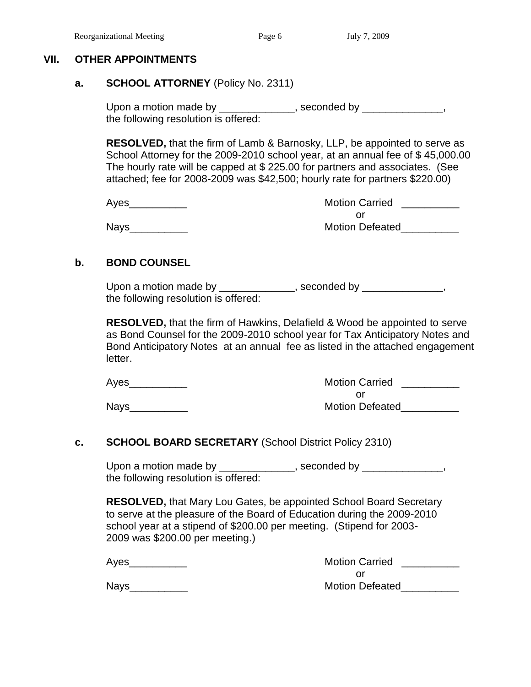#### **VII. OTHER APPOINTMENTS**

#### **a. SCHOOL ATTORNEY** (Policy No. 2311)

Upon a motion made by \_\_\_\_\_\_\_\_\_\_\_\_, seconded by \_\_\_\_\_\_\_\_\_\_\_\_, the following resolution is offered:

**RESOLVED,** that the firm of Lamb & Barnosky, LLP, be appointed to serve as School Attorney for the 2009-2010 school year, at an annual fee of \$ 45,000.00 The hourly rate will be capped at \$ 225.00 for partners and associates. (See attached; fee for 2008-2009 was \$42,500; hourly rate for partners \$220.00)

| Ayes | <b>Motion Carried</b>  |
|------|------------------------|
|      |                        |
| Nays | <b>Motion Defeated</b> |

#### **b. BOND COUNSEL**

Upon a motion made by \_\_\_\_\_\_\_\_\_\_\_\_, seconded by \_\_\_\_\_\_\_\_\_\_\_\_, the following resolution is offered:

**RESOLVED,** that the firm of Hawkins, Delafield & Wood be appointed to serve as Bond Counsel for the 2009-2010 school year for Tax Anticipatory Notes and Bond Anticipatory Notes at an annual fee as listed in the attached engagement letter.

| Ayes        | <b>Motion Carried</b>  |
|-------------|------------------------|
|             |                        |
| <b>Nays</b> | <b>Motion Defeated</b> |

#### **c. SCHOOL BOARD SECRETARY** (School District Policy 2310)

Upon a motion made by \_\_\_\_\_\_\_\_\_\_\_\_\_, seconded by \_\_\_\_\_\_\_\_\_\_\_\_\_, the following resolution is offered:

**RESOLVED,** that Mary Lou Gates, be appointed School Board Secretary to serve at the pleasure of the Board of Education during the 2009-2010 school year at a stipend of \$200.00 per meeting. (Stipend for 2003- 2009 was \$200.00 per meeting.)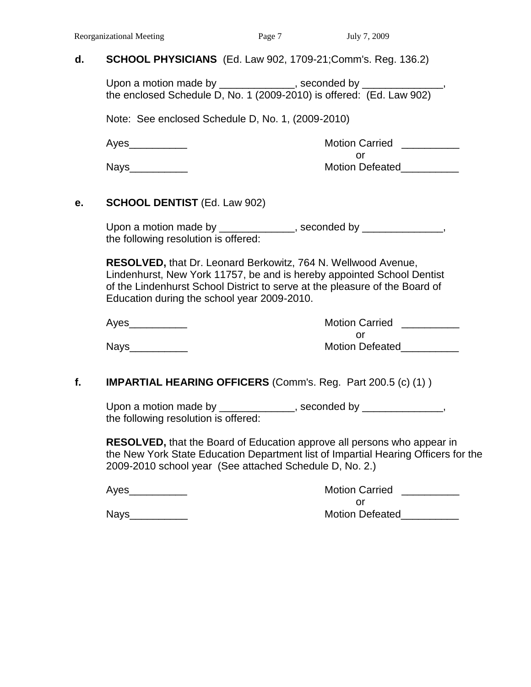#### **d. SCHOOL PHYSICIANS** (Ed. Law 902, 1709-21;Comm's. Reg. 136.2)

Upon a motion made by \_\_\_\_\_\_\_\_\_\_\_\_, seconded by \_\_\_\_\_\_\_\_ the enclosed Schedule D, No. 1 (2009-2010) is offered: (Ed. Law 902)

Note: See enclosed Schedule D, No. 1, (2009-2010)

Ayes\_\_\_\_\_\_\_\_\_\_ Motion Carried \_\_\_\_\_\_\_\_\_\_ or Nays\_\_\_\_\_\_\_\_\_\_ Motion Defeated\_\_\_\_\_\_\_\_\_\_

#### **e. SCHOOL DENTIST** (Ed. Law 902)

Upon a motion made by \_\_\_\_\_\_\_\_\_\_\_\_, seconded by \_\_\_\_\_\_\_\_\_\_\_\_, the following resolution is offered:

**RESOLVED,** that Dr. Leonard Berkowitz, 764 N. Wellwood Avenue, Lindenhurst, New York 11757, be and is hereby appointed School Dentist of the Lindenhurst School District to serve at the pleasure of the Board of Education during the school year 2009-2010.

| Ayes        | <b>Motion Carried</b>  |
|-------------|------------------------|
|             |                        |
| <b>Nays</b> | <b>Motion Defeated</b> |

# **f. IMPARTIAL HEARING OFFICERS** (Comm's. Reg. Part 200.5 (c) (1) )

Upon a motion made by \_\_\_\_\_\_\_\_\_\_\_\_\_, seconded by \_\_\_\_\_\_\_\_\_\_\_\_\_, the following resolution is offered:

**RESOLVED,** that the Board of Education approve all persons who appear in the New York State Education Department list of Impartial Hearing Officers for the 2009-2010 school year (See attached Schedule D, No. 2.)

| Aves<br>. . |  |
|-------------|--|
|-------------|--|

Motion Carried \_\_\_\_\_\_\_\_\_ or Nays\_\_\_\_\_\_\_\_\_\_ Motion Defeated\_\_\_\_\_\_\_\_\_\_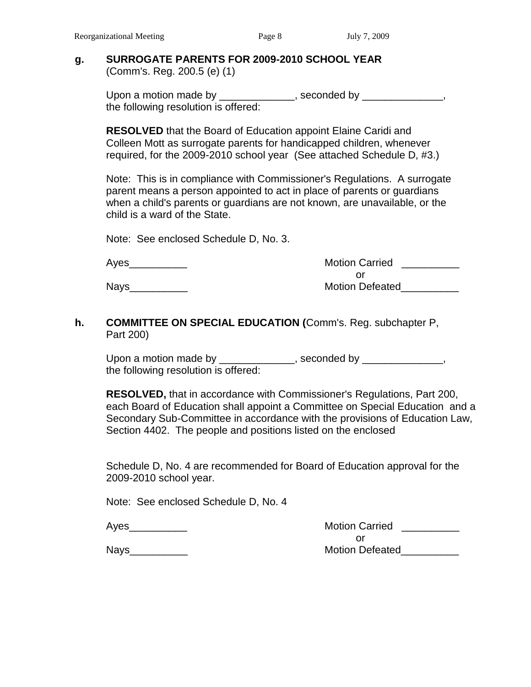#### **g. SURROGATE PARENTS FOR 2009-2010 SCHOOL YEAR** (Comm's. Reg. 200.5 (e) (1)

Upon a motion made by \_\_\_\_\_\_\_\_\_\_\_\_, seconded by \_\_\_\_\_\_\_\_\_\_\_\_, the following resolution is offered:

**RESOLVED** that the Board of Education appoint Elaine Caridi and Colleen Mott as surrogate parents for handicapped children, whenever required, for the 2009-2010 school year (See attached Schedule D, #3.)

Note: This is in compliance with Commissioner's Regulations. A surrogate parent means a person appointed to act in place of parents or guardians when a child's parents or guardians are not known, are unavailable, or the child is a ward of the State.

Note: See enclosed Schedule D, No. 3.

| Ayes | <b>Motion Carried</b>  |
|------|------------------------|
|      |                        |
| Nays | <b>Motion Defeated</b> |

### **h. COMMITTEE ON SPECIAL EDUCATION (**Comm's. Reg. subchapter P, Part 200)

Upon a motion made by \_\_\_\_\_\_\_\_\_\_\_\_, seconded by \_\_\_\_\_\_\_\_\_\_\_\_, the following resolution is offered:

**RESOLVED,** that in accordance with Commissioner's Regulations, Part 200, each Board of Education shall appoint a Committee on Special Education and a Secondary Sub-Committee in accordance with the provisions of Education Law, Section 4402. The people and positions listed on the enclosed

Schedule D, No. 4 are recommended for Board of Education approval for the 2009-2010 school year.

Note: See enclosed Schedule D, No. 4

| Ayes        | <b>Motion Carried</b>  |
|-------------|------------------------|
|             |                        |
| <b>Nays</b> | <b>Motion Defeated</b> |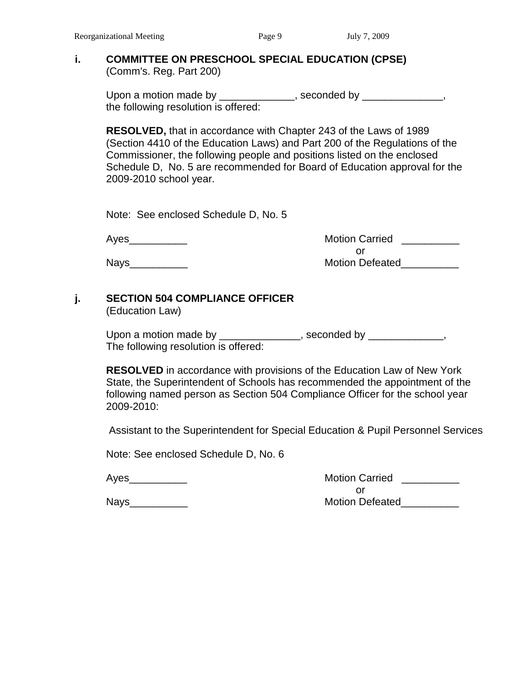#### **i. COMMITTEE ON PRESCHOOL SPECIAL EDUCATION (CPSE)** (Comm's. Reg. Part 200)

Upon a motion made by \_\_\_\_\_\_\_\_\_\_\_\_, seconded by \_\_\_\_\_\_\_\_\_\_\_\_, the following resolution is offered:

**RESOLVED,** that in accordance with Chapter 243 of the Laws of 1989 (Section 4410 of the Education Laws) and Part 200 of the Regulations of the Commissioner, the following people and positions listed on the enclosed Schedule D, No. 5 are recommended for Board of Education approval for the 2009-2010 school year.

Note: See enclosed Schedule D, No. 5

Ayes\_\_\_\_\_\_\_\_\_\_ Motion Carried \_\_\_\_\_\_\_\_\_\_ or Nays\_\_\_\_\_\_\_\_\_\_ Motion Defeated\_\_\_\_\_\_\_\_\_\_

# **j. SECTION 504 COMPLIANCE OFFICER**

(Education Law)

| Upon a motion made by                | , seconded by |
|--------------------------------------|---------------|
| The following resolution is offered: |               |

**RESOLVED** in accordance with provisions of the Education Law of New York State, the Superintendent of Schools has recommended the appointment of the following named person as Section 504 Compliance Officer for the school year 2009-2010:

Assistant to the Superintendent for Special Education & Pupil Personnel Services

Note: See enclosed Schedule D, No. 6

Ayes extending the set of the Motion Carried Ayes and the Motion Carried Ayes and the Motion Carried Ayes and  $\sim$ or Nays extending the contract of the Motion Defeated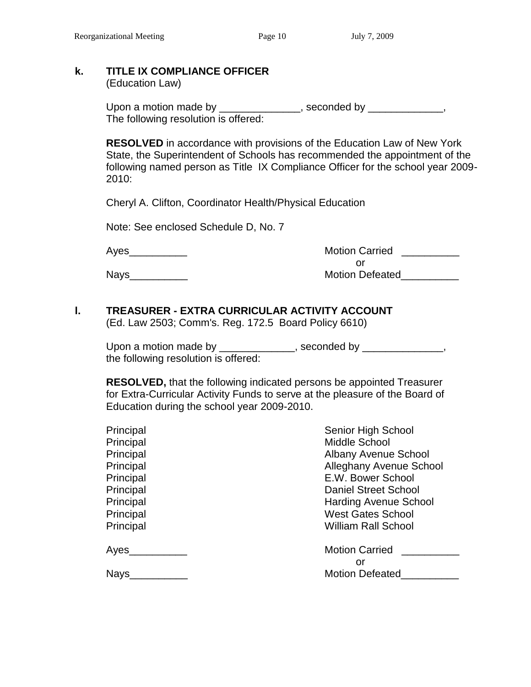### **k. TITLE IX COMPLIANCE OFFICER**

(Education Law)

Upon a motion made by \_\_\_\_\_\_\_\_\_\_\_\_\_\_, seconded by \_\_\_\_\_\_\_\_\_\_\_\_, The following resolution is offered:

**RESOLVED** in accordance with provisions of the Education Law of New York State, the Superintendent of Schools has recommended the appointment of the following named person as Title IX Compliance Officer for the school year 2009- 2010:

Cheryl A. Clifton, Coordinator Health/Physical Education

Note: See enclosed Schedule D, No. 7

Ayes\_\_\_\_\_\_\_\_\_\_ Motion Carried \_\_\_\_\_\_\_\_\_\_ or Nays\_\_\_\_\_\_\_\_\_\_ Motion Defeated\_\_\_\_\_\_\_\_\_\_

# **l. TREASURER - EXTRA CURRICULAR ACTIVITY ACCOUNT**

(Ed. Law 2503; Comm's. Reg. 172.5 Board Policy 6610)

Upon a motion made by \_\_\_\_\_\_\_\_\_\_\_\_\_, seconded by \_\_\_\_\_\_\_\_\_\_\_\_\_, the following resolution is offered:

**RESOLVED,** that the following indicated persons be appointed Treasurer for Extra-Curricular Activity Funds to serve at the pleasure of the Board of Education during the school year 2009-2010.

| Principal | Senior High School           |
|-----------|------------------------------|
| Principal | Middle School                |
| Principal | <b>Albany Avenue School</b>  |
| Principal | Alleghany Avenue School      |
| Principal | E.W. Bower School            |
| Principal | <b>Daniel Street School</b>  |
| Principal | <b>Harding Avenue School</b> |
| Principal | <b>West Gates School</b>     |
| Principal | <b>William Rall School</b>   |
| Ayes      | <b>Motion Carried</b>        |
|           | or                           |
| Nays      | <b>Motion Defeated</b>       |
|           |                              |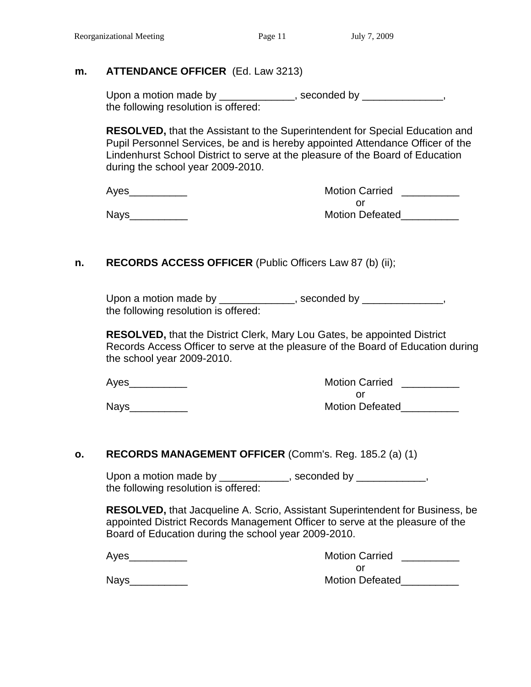# **m. ATTENDANCE OFFICER** (Ed. Law 3213)

Upon a motion made by \_\_\_\_\_\_\_\_\_\_\_\_\_, seconded by \_\_\_\_\_\_\_\_\_\_\_\_\_, the following resolution is offered:

**RESOLVED,** that the Assistant to the Superintendent for Special Education and Pupil Personnel Services, be and is hereby appointed Attendance Officer of the Lindenhurst School District to serve at the pleasure of the Board of Education during the school year 2009-2010.

| Ayes        | <b>Motion Carried</b>  |
|-------------|------------------------|
|             |                        |
| <b>Nays</b> | <b>Motion Defeated</b> |

# **n. RECORDS ACCESS OFFICER** (Public Officers Law 87 (b) (ii);

Upon a motion made by \_\_\_\_\_\_\_\_\_\_\_\_\_, seconded by \_\_\_\_\_\_\_\_\_\_\_\_\_, the following resolution is offered:

**RESOLVED,** that the District Clerk, Mary Lou Gates, be appointed District Records Access Officer to serve at the pleasure of the Board of Education during the school year 2009-2010.

Motion Carried **Motion Carried** or Nays extending the state of the Motion Defeated

#### **o. RECORDS MANAGEMENT OFFICER** (Comm's. Reg. 185.2 (a) (1)

Upon a motion made by \_\_\_\_\_\_\_\_\_\_\_\_, seconded by \_\_\_\_\_\_\_\_\_\_\_, the following resolution is offered:

**RESOLVED,** that Jacqueline A. Scrio, Assistant Superintendent for Business, be appointed District Records Management Officer to serve at the pleasure of the Board of Education during the school year 2009-2010.

Ayes\_\_\_\_\_\_\_\_\_\_\_

| <b>Motion Carried</b>  |  |
|------------------------|--|
| Ωr                     |  |
| <b>Motion Defeated</b> |  |

Nays\_\_\_\_\_\_\_\_\_\_\_\_\_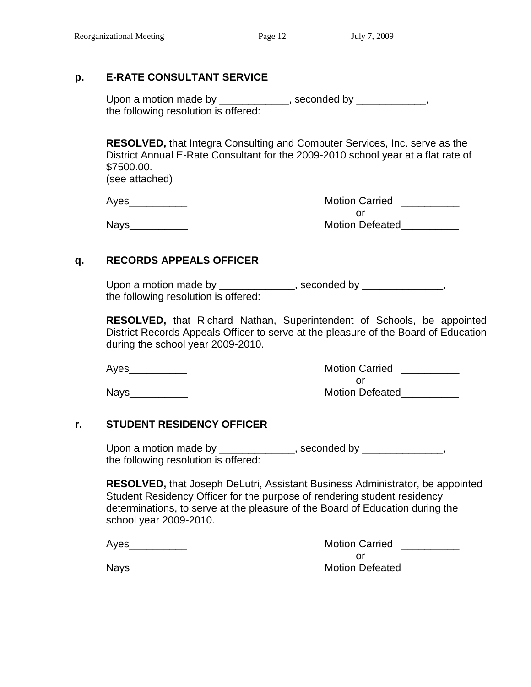# **p. E-RATE CONSULTANT SERVICE**

Upon a motion made by \_\_\_\_\_\_\_\_\_\_\_\_, seconded by \_\_\_\_\_\_\_\_\_\_\_, the following resolution is offered:

**RESOLVED,** that Integra Consulting and Computer Services, Inc. serve as the District Annual E-Rate Consultant for the 2009-2010 school year at a flat rate of \$7500.00.

(see attached)

Ayes\_\_\_\_\_\_\_\_\_\_ Motion Carried \_\_\_\_\_\_\_\_\_\_ or Nays extending the contract of the Motion Defeated

# **q. RECORDS APPEALS OFFICER**

Upon a motion made by \_\_\_\_\_\_\_\_\_\_\_\_, seconded by \_\_\_\_\_\_\_\_\_\_\_\_, the following resolution is offered:

**RESOLVED,** that Richard Nathan, Superintendent of Schools, be appointed District Records Appeals Officer to serve at the pleasure of the Board of Education during the school year 2009-2010.

Ayes\_\_\_\_\_\_\_\_\_\_ Motion Carried \_\_\_\_\_\_\_\_\_\_ or Nays\_\_\_\_\_\_\_\_\_\_ Motion Defeated\_\_\_\_\_\_\_\_\_\_

# **r. STUDENT RESIDENCY OFFICER**

Upon a motion made by \_\_\_\_\_\_\_\_\_\_\_\_, seconded by \_\_\_\_\_\_\_\_\_\_\_\_, the following resolution is offered:

**RESOLVED,** that Joseph DeLutri, Assistant Business Administrator, be appointed Student Residency Officer for the purpose of rendering student residency determinations, to serve at the pleasure of the Board of Education during the school year 2009-2010.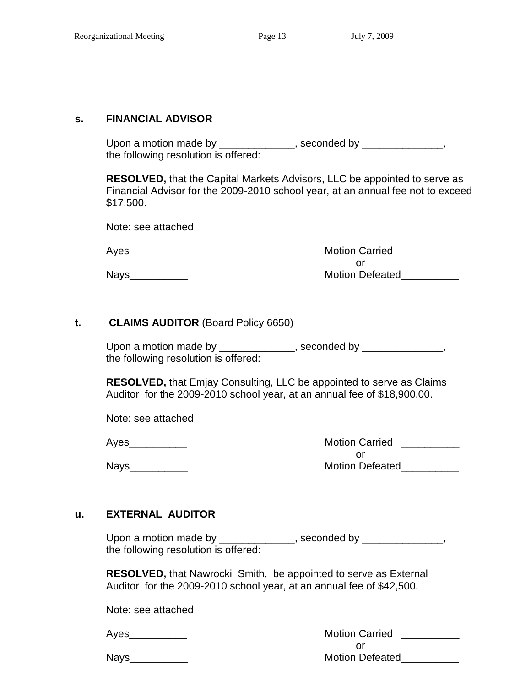#### **s. FINANCIAL ADVISOR**

Upon a motion made by \_\_\_\_\_\_\_\_\_\_\_\_\_, seconded by \_\_\_\_\_\_\_\_\_\_\_\_, the following resolution is offered:

**RESOLVED,** that the Capital Markets Advisors, LLC be appointed to serve as Financial Advisor for the 2009-2010 school year, at an annual fee not to exceed \$17,500.

Note: see attached

Ayes\_\_\_\_\_\_\_\_\_\_ Motion Carried \_\_\_\_\_\_\_\_\_\_ or Nays\_\_\_\_\_\_\_\_\_\_ Motion Defeated\_\_\_\_\_\_\_\_\_\_

#### **t. CLAIMS AUDITOR** (Board Policy 6650)

Upon a motion made by \_\_\_\_\_\_\_\_\_\_\_\_\_, seconded by \_\_\_\_\_\_\_\_\_\_\_\_\_, the following resolution is offered:

**RESOLVED,** that Emjay Consulting, LLC be appointed to serve as Claims Auditor for the 2009-2010 school year, at an annual fee of \$18,900.00.

Note: see attached

Ayes\_\_\_\_\_\_\_\_\_\_ Motion Carried \_\_\_\_\_\_\_\_\_\_ or Nays extending the contract of the Motion Defeated

#### **u. EXTERNAL AUDITOR**

Upon a motion made by \_\_\_\_\_\_\_\_\_\_\_\_\_, seconded by \_\_\_\_\_\_\_\_\_\_\_\_\_, the following resolution is offered:

**RESOLVED,** that Nawrocki Smith, be appointed to serve as External Auditor for the 2009-2010 school year, at an annual fee of \$42,500.

Note: see attached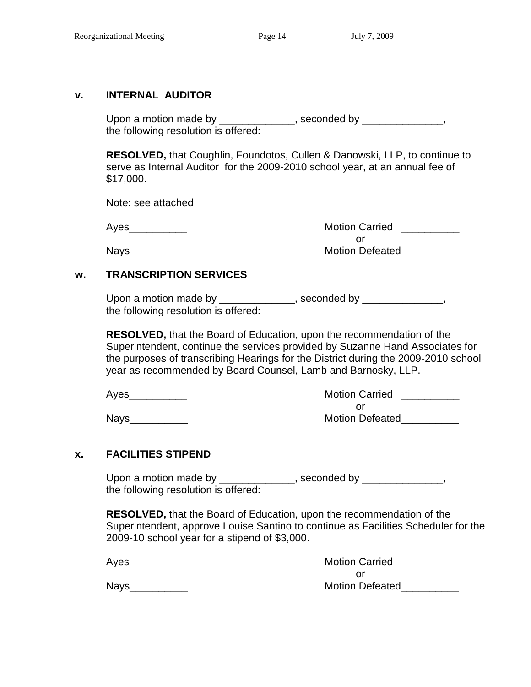#### **v. INTERNAL AUDITOR**

Upon a motion made by \_\_\_\_\_\_\_\_\_\_\_\_, seconded by \_\_\_\_\_\_\_\_\_\_\_\_, the following resolution is offered:

**RESOLVED,** that Coughlin, Foundotos, Cullen & Danowski, LLP, to continue to serve as Internal Auditor for the 2009-2010 school year, at an annual fee of \$17,000.

Note: see attached

Ayes\_\_\_\_\_\_\_\_\_\_ Motion Carried \_\_\_\_\_\_\_\_\_\_ or Nays\_\_\_\_\_\_\_\_\_\_ Motion Defeated\_\_\_\_\_\_\_\_\_\_

# **w. TRANSCRIPTION SERVICES**

Upon a motion made by \_\_\_\_\_\_\_\_\_\_\_\_\_, seconded by \_\_\_\_\_\_\_\_\_\_\_\_\_, the following resolution is offered:

**RESOLVED,** that the Board of Education, upon the recommendation of the Superintendent, continue the services provided by Suzanne Hand Associates for the purposes of transcribing Hearings for the District during the 2009-2010 school year as recommended by Board Counsel, Lamb and Barnosky, LLP.

| Ayes | <b>Motion Carried</b>  |
|------|------------------------|
|      |                        |
| Nays | <b>Motion Defeated</b> |

# **x. FACILITIES STIPEND**

Upon a motion made by \_\_\_\_\_\_\_\_\_\_\_\_\_, seconded by \_\_\_\_\_\_\_\_\_\_\_\_\_, the following resolution is offered:

**RESOLVED,** that the Board of Education, upon the recommendation of the Superintendent, approve Louise Santino to continue as Facilities Scheduler for the 2009-10 school year for a stipend of \$3,000.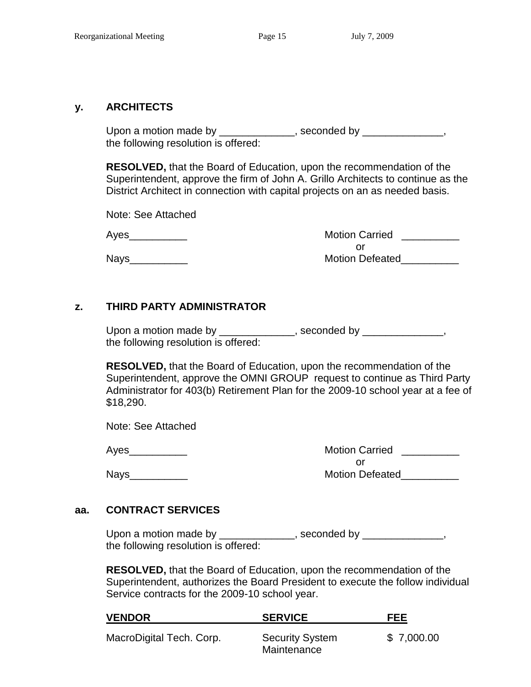#### **y. ARCHITECTS**

Upon a motion made by \_\_\_\_\_\_\_\_\_\_\_\_\_, seconded by \_\_\_\_\_\_\_\_\_\_\_\_\_\_, the following resolution is offered:

**RESOLVED,** that the Board of Education, upon the recommendation of the Superintendent, approve the firm of John A. Grillo Architects to continue as the District Architect in connection with capital projects on an as needed basis.

Note: See Attached

Ayes\_\_\_\_\_\_\_\_\_\_ Motion Carried \_\_\_\_\_\_\_\_\_\_ or Nays extending the contract of the Motion Defeated

# **z. THIRD PARTY ADMINISTRATOR**

Upon a motion made by \_\_\_\_\_\_\_\_\_\_\_\_\_, seconded by \_\_\_\_\_\_\_\_\_\_\_\_\_, the following resolution is offered:

**RESOLVED,** that the Board of Education, upon the recommendation of the Superintendent, approve the OMNI GROUP request to continue as Third Party Administrator for 403(b) Retirement Plan for the 2009-10 school year at a fee of \$18,290.

Note: See Attached

Ayes\_\_\_\_\_\_\_\_\_\_ Motion Carried \_\_\_\_\_\_\_\_\_\_ or Nays\_\_\_\_\_\_\_\_\_\_ Motion Defeated\_\_\_\_\_\_\_\_\_\_

#### **aa. CONTRACT SERVICES**

Upon a motion made by \_\_\_\_\_\_\_\_\_\_\_\_, seconded by \_\_\_\_\_\_\_\_\_\_\_\_, the following resolution is offered:

**RESOLVED,** that the Board of Education, upon the recommendation of the Superintendent, authorizes the Board President to execute the follow individual Service contracts for the 2009-10 school year.

| <b>VENDOR</b>            | <b>SERVICE</b>                        | FEE        |
|--------------------------|---------------------------------------|------------|
| MacroDigital Tech. Corp. | <b>Security System</b><br>Maintenance | \$7,000.00 |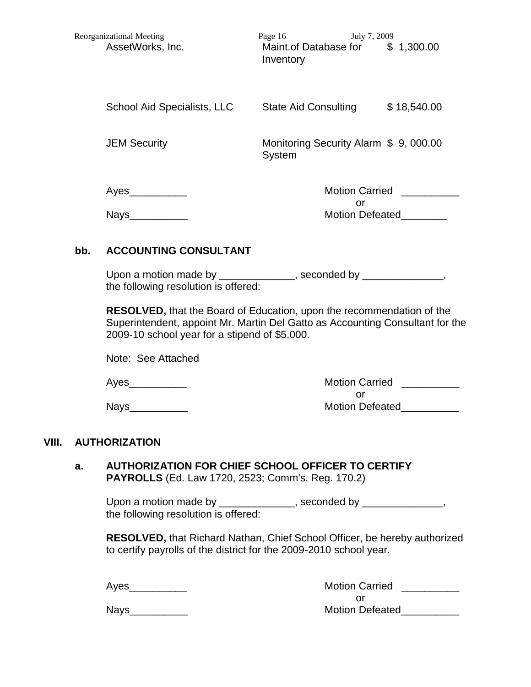| <b>Reorganizational Meeting</b><br>AssetWorks, Inc. | July 7, 2009<br>Page 16<br>Maint.of Database for<br>\$1,300.00<br>Inventory |
|-----------------------------------------------------|-----------------------------------------------------------------------------|
| <b>School Aid Specialists, LLC</b>                  | \$18,540.00<br><b>State Aid Consulting</b>                                  |
| <b>JEM Security</b>                                 | Monitoring Security Alarm \$ 9, 000.00<br>System                            |
| Ayes                                                | <b>Motion Carried</b>                                                       |
| <b>Nays</b>                                         | or<br><b>Motion Defeated</b>                                                |

#### **bb. ACCOUNTING CONSULTANT**

Upon a motion made by \_\_\_\_\_\_\_\_\_\_\_\_\_, seconded by \_\_\_\_\_\_\_\_\_\_\_\_\_, the following resolution is offered:

**RESOLVED,** that the Board of Education, upon the recommendation of the Superintendent, appoint Mr. Martin Del Gatto as Accounting Consultant for the 2009-10 school year for a stipend of \$5,000.

Note: See Attached

# Ayes **Axis Allen Arrives** Motion Carried **Axis Ayes** or Nays\_\_\_\_\_\_\_\_\_\_ Motion Defeated\_\_\_\_\_\_\_\_\_\_

#### **VIII. AUTHORIZATION**

#### **a. AUTHORIZATION FOR CHIEF SCHOOL OFFICER TO CERTIFY PAYROLLS** (Ed. Law 1720, 2523; Comm's. Reg. 170.2)

Upon a motion made by \_\_\_\_\_\_\_\_\_\_\_\_\_, seconded by \_\_\_\_\_\_\_\_\_\_\_\_\_\_, the following resolution is offered:

**RESOLVED,** that Richard Nathan, Chief School Officer, be hereby authorized to certify payrolls of the district for the 2009-2010 school year.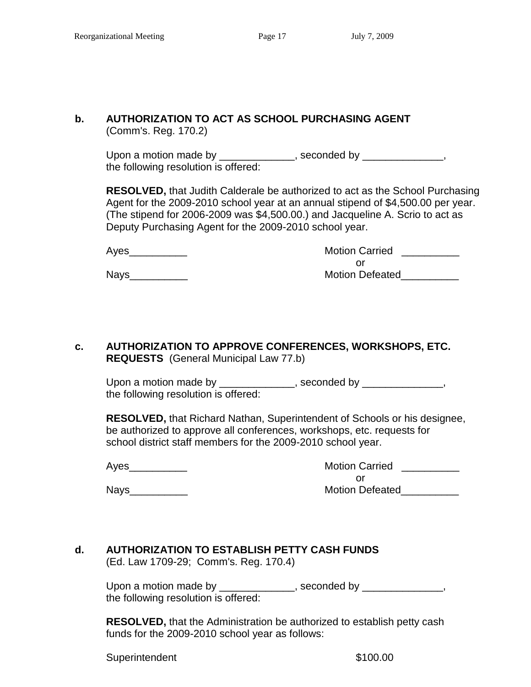# **b. AUTHORIZATION TO ACT AS SCHOOL PURCHASING AGENT**

(Comm's. Reg. 170.2)

Upon a motion made by \_\_\_\_\_\_\_\_\_\_\_\_\_, seconded by \_\_\_\_\_\_\_\_\_\_\_\_\_, the following resolution is offered:

**RESOLVED,** that Judith Calderale be authorized to act as the School Purchasing Agent for the 2009-2010 school year at an annual stipend of \$4,500.00 per year. (The stipend for 2006-2009 was \$4,500.00.) and Jacqueline A. Scrio to act as Deputy Purchasing Agent for the 2009-2010 school year.

| Ayes | <b>Motion Carried</b>  |
|------|------------------------|
|      |                        |
| Nays | <b>Motion Defeated</b> |

# **c. AUTHORIZATION TO APPROVE CONFERENCES, WORKSHOPS, ETC. REQUESTS** (General Municipal Law 77.b)

Upon a motion made by \_\_\_\_\_\_\_\_\_\_\_\_, seconded by \_\_\_\_\_\_\_\_\_\_\_\_, the following resolution is offered:

**RESOLVED,** that Richard Nathan, Superintendent of Schools or his designee, be authorized to approve all conferences, workshops, etc. requests for school district staff members for the 2009-2010 school year.

Ayes\_\_\_\_\_\_\_\_\_\_ Motion Carried \_\_\_\_\_\_\_\_\_\_ or Nays\_\_\_\_\_\_\_\_\_\_ Motion Defeated\_\_\_\_\_\_\_\_\_\_

#### **d. AUTHORIZATION TO ESTABLISH PETTY CASH FUNDS**  (Ed. Law 1709-29; Comm's. Reg. 170.4)

Upon a motion made by \_\_\_\_\_\_\_\_\_\_\_\_, seconded by \_\_\_\_\_\_\_\_\_\_\_\_, the following resolution is offered:

**RESOLVED,** that the Administration be authorized to establish petty cash funds for the 2009-2010 school year as follows:

Superintendent \$100.00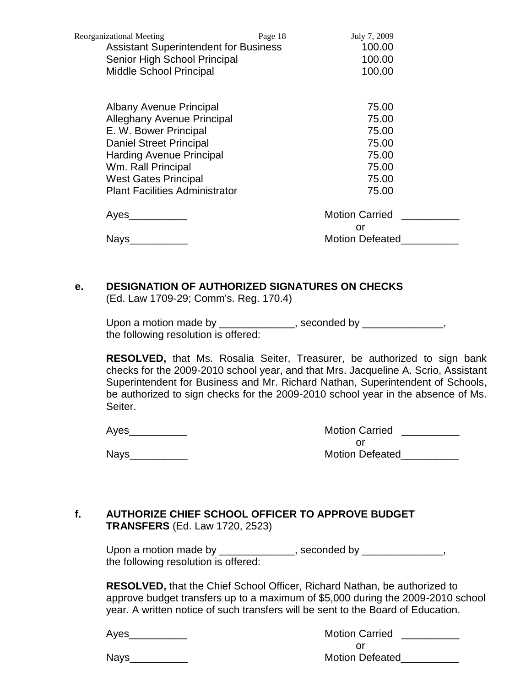| <b>Reorganizational Meeting</b>              | Page 18 | July 7, 2009           |  |
|----------------------------------------------|---------|------------------------|--|
| <b>Assistant Superintendent for Business</b> |         | 100.00                 |  |
| Senior High School Principal                 |         | 100.00                 |  |
| <b>Middle School Principal</b>               |         | 100.00                 |  |
|                                              |         |                        |  |
| Albany Avenue Principal                      |         | 75.00                  |  |
| <b>Alleghany Avenue Principal</b>            |         | 75.00                  |  |
| E. W. Bower Principal                        |         | 75.00                  |  |
| <b>Daniel Street Principal</b>               |         | 75.00                  |  |
| <b>Harding Avenue Principal</b>              |         | 75.00                  |  |
| Wm. Rall Principal                           |         | 75.00                  |  |
| <b>West Gates Principal</b>                  |         | 75.00                  |  |
| <b>Plant Facilities Administrator</b>        |         | 75.00                  |  |
| Ayes                                         |         | <b>Motion Carried</b>  |  |
|                                              |         | or                     |  |
| <b>Nays</b>                                  |         | <b>Motion Defeated</b> |  |
|                                              |         |                        |  |

#### **e. DESIGNATION OF AUTHORIZED SIGNATURES ON CHECKS**

(Ed. Law 1709-29; Comm's. Reg. 170.4)

| Upon a motion made by                | , seconded by |
|--------------------------------------|---------------|
| the following resolution is offered: |               |

**RESOLVED,** that Ms. Rosalia Seiter, Treasurer, be authorized to sign bank checks for the 2009-2010 school year, and that Mrs. Jacqueline A. Scrio, Assistant Superintendent for Business and Mr. Richard Nathan, Superintendent of Schools, be authorized to sign checks for the 2009-2010 school year in the absence of Ms. Seiter.

Ayes\_\_\_\_\_\_\_\_\_\_ Motion Carried \_\_\_\_\_\_\_\_\_\_ or Nays\_\_\_\_\_\_\_\_\_\_ Motion Defeated\_\_\_\_\_\_\_\_\_\_

# **f. AUTHORIZE CHIEF SCHOOL OFFICER TO APPROVE BUDGET TRANSFERS** (Ed. Law 1720, 2523)

Upon a motion made by \_\_\_\_\_\_\_\_\_\_\_\_\_, seconded by \_\_\_\_\_\_\_\_\_\_\_\_\_, the following resolution is offered:

**RESOLVED,** that the Chief School Officer, Richard Nathan, be authorized to approve budget transfers up to a maximum of \$5,000 during the 2009-2010 school year. A written notice of such transfers will be sent to the Board of Education.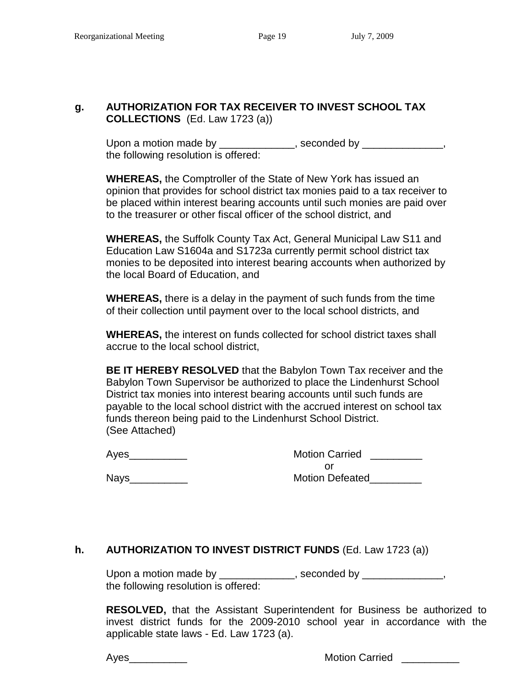# **g. AUTHORIZATION FOR TAX RECEIVER TO INVEST SCHOOL TAX COLLECTIONS** (Ed. Law 1723 (a))

Upon a motion made by \_\_\_\_\_\_\_\_\_\_\_\_, seconded by \_\_\_\_\_\_\_\_\_\_\_\_, the following resolution is offered:

**WHEREAS,** the Comptroller of the State of New York has issued an opinion that provides for school district tax monies paid to a tax receiver to be placed within interest bearing accounts until such monies are paid over to the treasurer or other fiscal officer of the school district, and

**WHEREAS,** the Suffolk County Tax Act, General Municipal Law S11 and Education Law S1604a and S1723a currently permit school district tax monies to be deposited into interest bearing accounts when authorized by the local Board of Education, and

**WHEREAS,** there is a delay in the payment of such funds from the time of their collection until payment over to the local school districts, and

**WHEREAS,** the interest on funds collected for school district taxes shall accrue to the local school district,

**BE IT HEREBY RESOLVED** that the Babylon Town Tax receiver and the Babylon Town Supervisor be authorized to place the Lindenhurst School District tax monies into interest bearing accounts until such funds are payable to the local school district with the accrued interest on school tax funds thereon being paid to the Lindenhurst School District. (See Attached)

Ayes\_\_\_\_\_\_\_\_\_

| <b>Motion Carried</b>  |  |
|------------------------|--|
| Ωr                     |  |
| <b>Motion Defeated</b> |  |

 $N$ ays $\Box$ 

# **h. AUTHORIZATION TO INVEST DISTRICT FUNDS** (Ed. Law 1723 (a))

Upon a motion made by \_\_\_\_\_\_\_\_\_\_\_\_\_, seconded by \_\_\_\_\_\_\_\_\_\_\_\_\_, the following resolution is offered:

**RESOLVED,** that the Assistant Superintendent for Business be authorized to invest district funds for the 2009-2010 school year in accordance with the applicable state laws - Ed. Law 1723 (a).

Ayes\_\_\_\_\_\_\_\_\_\_ Motion Carried \_\_\_\_\_\_\_\_\_\_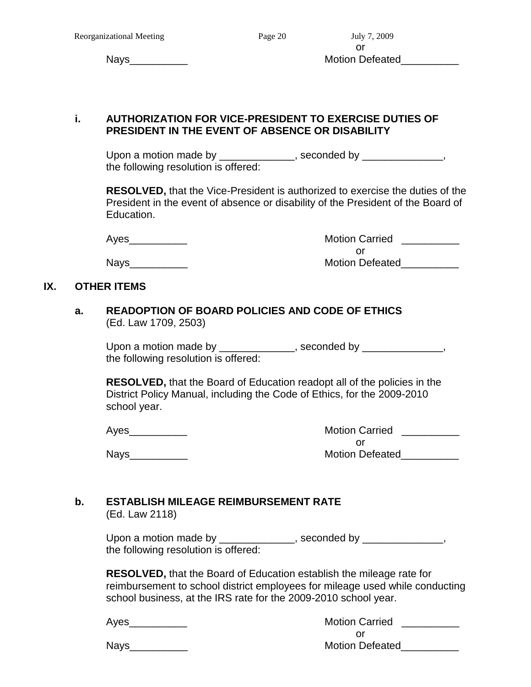#### **i. AUTHORIZATION FOR VICE-PRESIDENT TO EXERCISE DUTIES OF PRESIDENT IN THE EVENT OF ABSENCE OR DISABILITY**

Upon a motion made by \_\_\_\_\_\_\_\_\_\_\_\_\_, seconded by \_\_\_\_\_\_\_\_\_\_\_\_\_, the following resolution is offered:

**RESOLVED,** that the Vice-President is authorized to exercise the duties of the President in the event of absence or disability of the President of the Board of Education.

| Ayes | <b>Motion Carried</b>  |
|------|------------------------|
|      |                        |
| Nays | <b>Motion Defeated</b> |

# **IX. OTHER ITEMS**

#### **a. READOPTION OF BOARD POLICIES AND CODE OF ETHICS** (Ed. Law 1709, 2503)

Upon a motion made by \_\_\_\_\_\_\_\_\_\_\_\_\_, seconded by \_\_\_\_\_\_\_\_\_\_\_\_\_, the following resolution is offered:

**RESOLVED,** that the Board of Education readopt all of the policies in the District Policy Manual, including the Code of Ethics, for the 2009-2010 school year.

Ayes\_\_\_\_\_\_\_\_\_\_\_\_\_

 $Nays$  and  $Nays$  and  $Naps$  are  $Naps$  and  $Naps$  are  $Naps$  and  $Naps$  are  $Naps$  and  $Naps$  are  $Naps$  and  $Naps$  are  $Naps$  and  $Naps$  are  $Naps$  and  $Naps$  are  $Naps$  and  $Naps$  are  $Naps$  and  $Naps$  and  $Naps$  are  $Naps$  and  $Naps$  and  $Naps$  are  $Naps$  and  $Naps$ 

| <b>Motion Carried</b>  |  |
|------------------------|--|
| Ωr                     |  |
| <b>Motion Defeated</b> |  |

# **b. ESTABLISH MILEAGE REIMBURSEMENT RATE**

(Ed. Law 2118)

Upon a motion made by \_\_\_\_\_\_\_\_\_\_\_\_, seconded by \_\_\_\_\_\_\_\_\_\_\_\_, the following resolution is offered:

**RESOLVED,** that the Board of Education establish the mileage rate for reimbursement to school district employees for mileage used while conducting school business, at the IRS rate for the 2009-2010 school year.

| д<br>ם |
|--------|
|--------|

Motion Carried **Lation** or Nays extending the contract of the Motion Defeated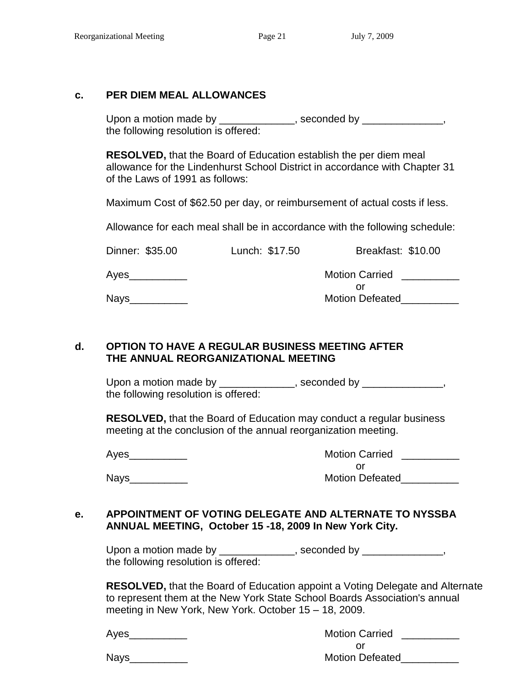#### **c. PER DIEM MEAL ALLOWANCES**

Upon a motion made by \_\_\_\_\_\_\_\_\_\_\_\_, seconded by \_\_\_\_\_\_\_\_\_\_\_\_, the following resolution is offered:

**RESOLVED,** that the Board of Education establish the per diem meal allowance for the Lindenhurst School District in accordance with Chapter 31 of the Laws of 1991 as follows:

Maximum Cost of \$62.50 per day, or reimbursement of actual costs if less.

Allowance for each meal shall be in accordance with the following schedule:

| Dinner: \$35.00 | Lunch: \$17.50 | Breakfast: \$10.00     |
|-----------------|----------------|------------------------|
| Ayes_           |                | <b>Motion Carried</b>  |
|                 |                |                        |
| Nays            |                | <b>Motion Defeated</b> |
|                 |                |                        |

#### **d. OPTION TO HAVE A REGULAR BUSINESS MEETING AFTER THE ANNUAL REORGANIZATIONAL MEETING**

Upon a motion made by \_\_\_\_\_\_\_\_\_\_\_\_, seconded by \_\_\_\_\_\_\_\_\_\_\_\_, the following resolution is offered:

**RESOLVED,** that the Board of Education may conduct a regular business meeting at the conclusion of the annual reorganization meeting.

Ayes\_\_\_\_\_\_\_\_\_

 $N$ ays $\Box$ 

| <b>Motion Carried</b>  |  |  |
|------------------------|--|--|
| Ωr                     |  |  |
| <b>Motion Defeated</b> |  |  |

#### **e. APPOINTMENT OF VOTING DELEGATE AND ALTERNATE TO NYSSBA ANNUAL MEETING, October 15 -18, 2009 In New York City.**

Upon a motion made by \_\_\_\_\_\_\_\_\_\_\_\_\_, seconded by \_\_\_\_\_\_\_\_\_\_\_\_\_, the following resolution is offered:

**RESOLVED,** that the Board of Education appoint a Voting Delegate and Alternate to represent them at the New York State School Boards Association's annual meeting in New York, New York. October 15 – 18, 2009.

| Ayes | <b>Motion Carried</b>  |
|------|------------------------|
|      |                        |
| Nays | <b>Motion Defeated</b> |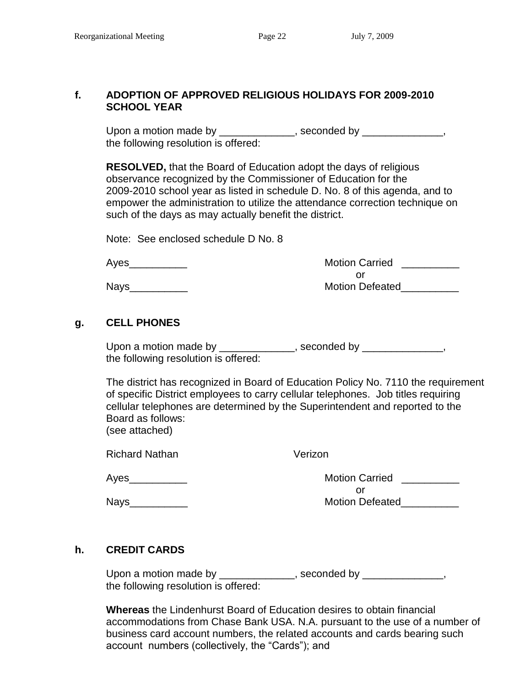#### **f. ADOPTION OF APPROVED RELIGIOUS HOLIDAYS FOR 2009-2010 SCHOOL YEAR**

Upon a motion made by \_\_\_\_\_\_\_\_\_\_\_\_\_, seconded by \_\_\_\_\_\_\_\_\_\_\_\_\_, the following resolution is offered:

**RESOLVED,** that the Board of Education adopt the days of religious observance recognized by the Commissioner of Education for the 2009-2010 school year as listed in schedule D. No. 8 of this agenda, and to empower the administration to utilize the attendance correction technique on such of the days as may actually benefit the district.

Note: See enclosed schedule D No. 8

| Ayes        | <b>Motion Carried</b>  |
|-------------|------------------------|
|             |                        |
| <b>Nays</b> | <b>Motion Defeated</b> |

# **g. CELL PHONES**

Upon a motion made by \_\_\_\_\_\_\_\_\_\_\_\_, seconded by \_\_\_\_\_\_\_\_\_\_\_\_, the following resolution is offered:

The district has recognized in Board of Education Policy No. 7110 the requirement of specific District employees to carry cellular telephones. Job titles requiring cellular telephones are determined by the Superintendent and reported to the Board as follows: (see attached)

Richard Nathan Verizon

Ayes\_\_\_\_\_\_\_\_\_\_ Motion Carried \_\_\_\_\_\_\_\_\_\_ or Nays extending the contract of the Motion Defeated

# **h. CREDIT CARDS**

Upon a motion made by \_\_\_\_\_\_\_\_\_\_\_\_\_, seconded by \_\_\_\_\_\_\_\_\_\_\_\_\_, the following resolution is offered:

**Whereas** the Lindenhurst Board of Education desires to obtain financial accommodations from Chase Bank USA. N.A. pursuant to the use of a number of business card account numbers, the related accounts and cards bearing such account numbers (collectively, the "Cards"); and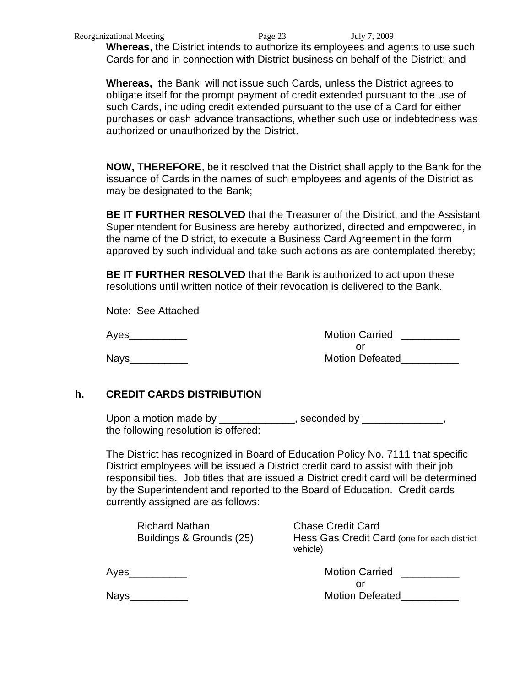**Whereas**, the District intends to authorize its employees and agents to use such Cards for and in connection with District business on behalf of the District; and

**Whereas,** the Bank will not issue such Cards, unless the District agrees to obligate itself for the prompt payment of credit extended pursuant to the use of such Cards, including credit extended pursuant to the use of a Card for either purchases or cash advance transactions, whether such use or indebtedness was authorized or unauthorized by the District.

**NOW, THEREFORE**, be it resolved that the District shall apply to the Bank for the issuance of Cards in the names of such employees and agents of the District as may be designated to the Bank;

**BE IT FURTHER RESOLVED** that the Treasurer of the District, and the Assistant Superintendent for Business are hereby authorized, directed and empowered, in the name of the District, to execute a Business Card Agreement in the form approved by such individual and take such actions as are contemplated thereby;

**BE IT FURTHER RESOLVED** that the Bank is authorized to act upon these resolutions until written notice of their revocation is delivered to the Bank.

Note: See Attached

Ayes\_\_\_\_\_\_\_\_\_\_ Motion Carried \_\_\_\_\_\_\_\_\_\_ or Nays\_\_\_\_\_\_\_\_\_\_ Motion Defeated\_\_\_\_\_\_\_\_\_\_

# **h. CREDIT CARDS DISTRIBUTION**

Upon a motion made by \_\_\_\_\_\_\_\_\_\_\_\_\_, seconded by \_\_\_\_\_\_\_\_\_\_\_\_\_, the following resolution is offered:

The District has recognized in Board of Education Policy No. 7111 that specific District employees will be issued a District credit card to assist with their job responsibilities. Job titles that are issued a District credit card will be determined by the Superintendent and reported to the Board of Education. Credit cards currently assigned are as follows:

Richard Nathan Chase Credit Card

Buildings & Grounds (25) Hess Gas Credit Card (one for each district vehicle)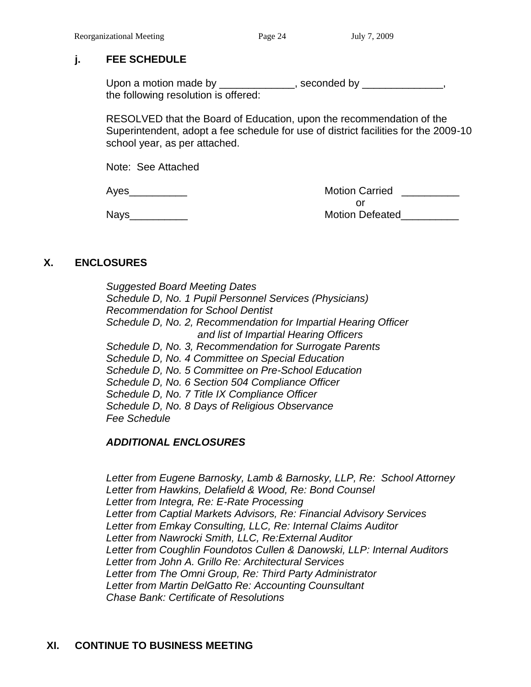# **j. FEE SCHEDULE**

Upon a motion made by \_\_\_\_\_\_\_\_\_\_\_\_, seconded by \_\_\_\_\_\_\_\_\_\_\_\_, the following resolution is offered:

RESOLVED that the Board of Education, upon the recommendation of the Superintendent, adopt a fee schedule for use of district facilities for the 2009-10 school year, as per attached.

Note: See Attached

Ayes **Axes** Ayes **Axes** Ayes **Axes** Assembly Motion Carried **Axes** Ayes **Axes** Ayes **Axes** Ayes **Axes** Ayes **Axes** Ayes **Ayes Ayes Ayes Ayes Ayes Ayes Ayes Ayes Ayes Ayes Ayes Ayes Ayes Ayes Aye** or Nays\_\_\_\_\_\_\_\_\_\_ Motion Defeated\_\_\_\_\_\_\_\_\_\_

# **X. ENCLOSURES**

*Suggested Board Meeting Dates Schedule D, No. 1 Pupil Personnel Services (Physicians) Recommendation for School Dentist Schedule D, No. 2, Recommendation for Impartial Hearing Officer and list of Impartial Hearing Officers Schedule D, No. 3, Recommendation for Surrogate Parents Schedule D, No. 4 Committee on Special Education Schedule D, No. 5 Committee on Pre-School Education Schedule D, No. 6 Section 504 Compliance Officer Schedule D, No. 7 Title IX Compliance Officer Schedule D, No. 8 Days of Religious Observance Fee Schedule*

# *ADDITIONAL ENCLOSURES*

*Letter from Eugene Barnosky, Lamb & Barnosky, LLP, Re: School Attorney Letter from Hawkins, Delafield & Wood, Re: Bond Counsel Letter from Integra, Re: E-Rate Processing Letter from Captial Markets Advisors, Re: Financial Advisory Services Letter from Emkay Consulting, LLC, Re: Internal Claims Auditor Letter from Nawrocki Smith, LLC, Re:External Auditor Letter from Coughlin Foundotos Cullen & Danowski, LLP: Internal Auditors Letter from John A. Grillo Re: Architectural Services Letter from The Omni Group, Re: Third Party Administrator Letter from Martin DelGatto Re: Accounting Counsultant Chase Bank: Certificate of Resolutions*